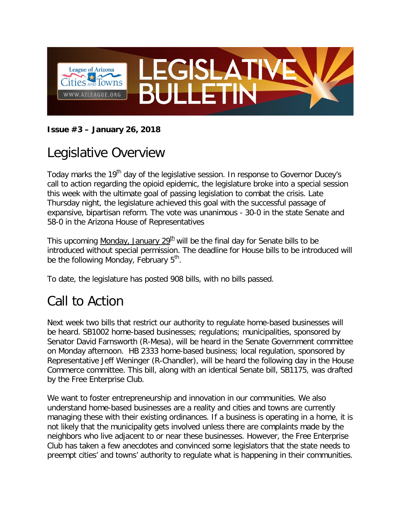

#### **Issue #3 – January 26, 2018**

# Legislative Overview

Today marks the 19<sup>th</sup> day of the legislative session. In response to Governor Ducey's call to action regarding the opioid epidemic, the legislature broke into a special session this week with the ultimate goal of passing legislation to combat the crisis. Late Thursday night, the legislature achieved this goal with the successful passage of expansive, bipartisan reform. The vote was unanimous - 30-0 in the state Senate and 58-0 in the Arizona House of Representatives

This upcoming Monday, January  $29<sup>th</sup>$  will be the final day for Senate bills to be introduced without special permission. The deadline for House bills to be introduced will be the following Monday, February  $5<sup>th</sup>$ .

To date, the legislature has posted 908 bills, with no bills passed.

# Call to Action

Next week two bills that restrict our authority to regulate home-based businesses will be heard. SB1002 home-based businesses; regulations; municipalities, sponsored by Senator David Farnsworth (R-Mesa), will be heard in the Senate Government committee on Monday afternoon. HB 2333 home-based business; local regulation, sponsored by Representative Jeff Weninger (R-Chandler), will be heard the following day in the House Commerce committee. This bill, along with an identical Senate bill, SB1175, was drafted by the Free Enterprise Club.

We want to foster entrepreneurship and innovation in our communities. We also understand home-based businesses are a reality and cities and towns are currently managing these with their existing ordinances. If a business is operating in a home, it is not likely that the municipality gets involved unless there are complaints made by the neighbors who live adjacent to or near these businesses. However, the Free Enterprise Club has taken a few anecdotes and convinced some legislators that the state needs to preempt cities' and towns' authority to regulate what is happening in their communities.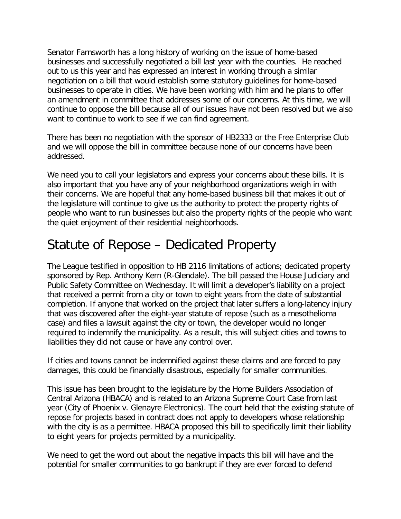Senator Farnsworth has a long history of working on the issue of home-based businesses and successfully negotiated a bill last year with the counties. He reached out to us this year and has expressed an interest in working through a similar negotiation on a bill that would establish some statutory guidelines for home-based businesses to operate in cities. We have been working with him and he plans to offer an amendment in committee that addresses some of our concerns. At this time, we will continue to oppose the bill because all of our issues have not been resolved but we also want to continue to work to see if we can find agreement.

There has been no negotiation with the sponsor of HB2333 or the Free Enterprise Club and we will oppose the bill in committee because none of our concerns have been addressed.

We need you to call your legislators and express your concerns about these bills. It is also important that you have any of your neighborhood organizations weigh in with their concerns. We are hopeful that any home-based business bill that makes it out of the legislature will continue to give us the authority to protect the property rights of people who want to run businesses but also the property rights of the people who want the quiet enjoyment of their residential neighborhoods.

### Statute of Repose – Dedicated Property

The League testified in opposition to HB 2116 limitations of actions; dedicated property sponsored by Rep. Anthony Kern (R-Glendale). The bill passed the House Judiciary and Public Safety Committee on Wednesday. It will limit a developer's liability on a project that received a permit from a city or town to eight years from the date of substantial completion. If anyone that worked on the project that later suffers a long-latency injury that was discovered after the eight-year statute of repose (such as a mesothelioma case) and files a lawsuit against the city or town, the developer would no longer required to indemnify the municipality. As a result, this will subject cities and towns to liabilities they did not cause or have any control over.

If cities and towns cannot be indemnified against these claims and are forced to pay damages, this could be financially disastrous, especially for smaller communities.

This issue has been brought to the legislature by the Home Builders Association of Central Arizona (HBACA) and is related to an Arizona Supreme Court Case from last year (City of Phoenix v. Glenayre Electronics). The court held that the existing statute of repose for projects based in contract does not apply to developers whose relationship with the city is as a permittee. HBACA proposed this bill to specifically limit their liability to eight years for projects permitted by a municipality.

We need to get the word out about the negative impacts this bill will have and the potential for smaller communities to go bankrupt if they are ever forced to defend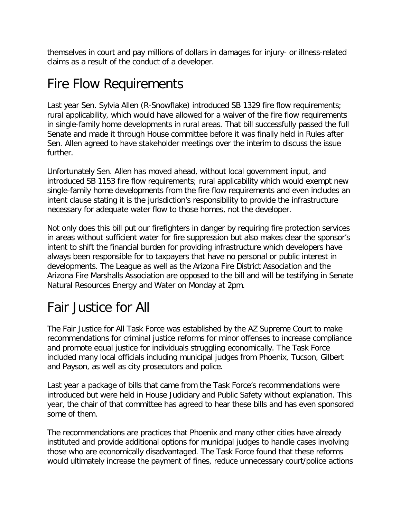themselves in court and pay millions of dollars in damages for injury- or illness-related claims as a result of the conduct of a developer.

# Fire Flow Requirements

Last year Sen. Sylvia Allen (R-Snowflake) introduced SB 1329 fire flow requirements; rural applicability, which would have allowed for a waiver of the fire flow requirements in single-family home developments in rural areas. That bill successfully passed the full Senate and made it through House committee before it was finally held in Rules after Sen. Allen agreed to have stakeholder meetings over the interim to discuss the issue further.

Unfortunately Sen. Allen has moved ahead, without local government input, and introduced SB 1153 fire flow requirements; rural applicability which would exempt new single-family home developments from the fire flow requirements and even includes an intent clause stating it is the jurisdiction's responsibility to provide the infrastructure necessary for adequate water flow to those homes, not the developer.

Not only does this bill put our firefighters in danger by requiring fire protection services in areas without sufficient water for fire suppression but also makes clear the sponsor's intent to shift the financial burden for providing infrastructure which developers have always been responsible for to taxpayers that have no personal or public interest in developments. The League as well as the Arizona Fire District Association and the Arizona Fire Marshalls Association are opposed to the bill and will be testifying in Senate Natural Resources Energy and Water on Monday at 2pm.

# Fair Justice for All

The Fair Justice for All Task Force was established by the AZ Supreme Court to make recommendations for criminal justice reforms for minor offenses to increase compliance and promote equal justice for individuals struggling economically. The Task Force included many local officials including municipal judges from Phoenix, Tucson, Gilbert and Payson, as well as city prosecutors and police.

Last year a package of bills that came from the Task Force's recommendations were introduced but were held in House Judiciary and Public Safety without explanation. This year, the chair of that committee has agreed to hear these bills and has even sponsored some of them.

The recommendations are practices that Phoenix and many other cities have already instituted and provide additional options for municipal judges to handle cases involving those who are economically disadvantaged. The Task Force found that these reforms would ultimately increase the payment of fines, reduce unnecessary court/police actions